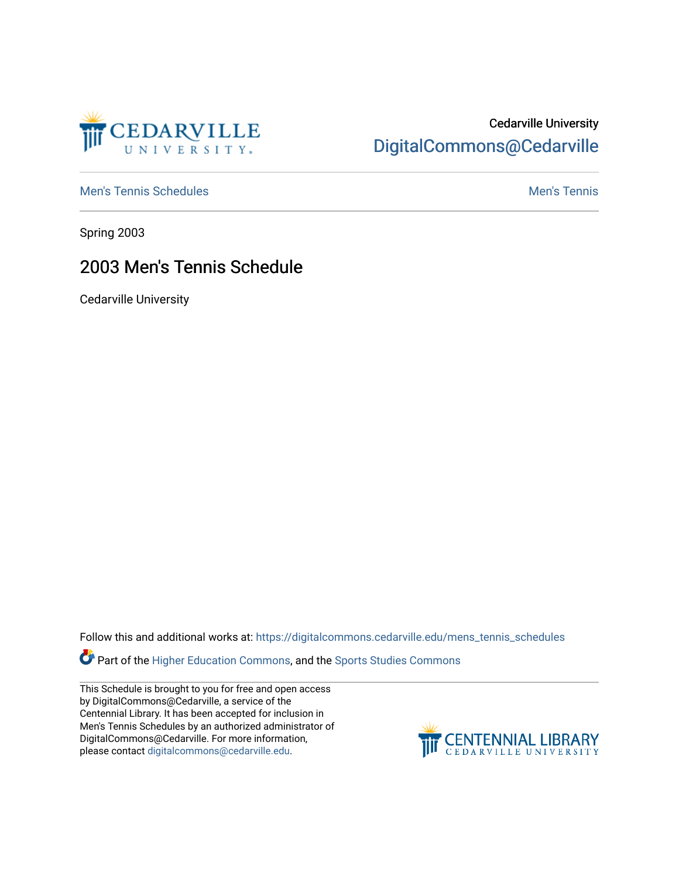

## Cedarville University [DigitalCommons@Cedarville](https://digitalcommons.cedarville.edu/)

[Men's Tennis Schedules](https://digitalcommons.cedarville.edu/mens_tennis_schedules) [Men's Tennis](https://digitalcommons.cedarville.edu/mens_tennis) Schedules Men's Tennis Schedules Men's Tennis

Spring 2003

## 2003 Men's Tennis Schedule

Cedarville University

Follow this and additional works at: [https://digitalcommons.cedarville.edu/mens\\_tennis\\_schedules](https://digitalcommons.cedarville.edu/mens_tennis_schedules?utm_source=digitalcommons.cedarville.edu%2Fmens_tennis_schedules%2F38&utm_medium=PDF&utm_campaign=PDFCoverPages) 

Part of the [Higher Education Commons,](http://network.bepress.com/hgg/discipline/1245?utm_source=digitalcommons.cedarville.edu%2Fmens_tennis_schedules%2F38&utm_medium=PDF&utm_campaign=PDFCoverPages) and the [Sports Studies Commons](http://network.bepress.com/hgg/discipline/1198?utm_source=digitalcommons.cedarville.edu%2Fmens_tennis_schedules%2F38&utm_medium=PDF&utm_campaign=PDFCoverPages) 

This Schedule is brought to you for free and open access by DigitalCommons@Cedarville, a service of the Centennial Library. It has been accepted for inclusion in Men's Tennis Schedules by an authorized administrator of DigitalCommons@Cedarville. For more information, please contact [digitalcommons@cedarville.edu](mailto:digitalcommons@cedarville.edu).